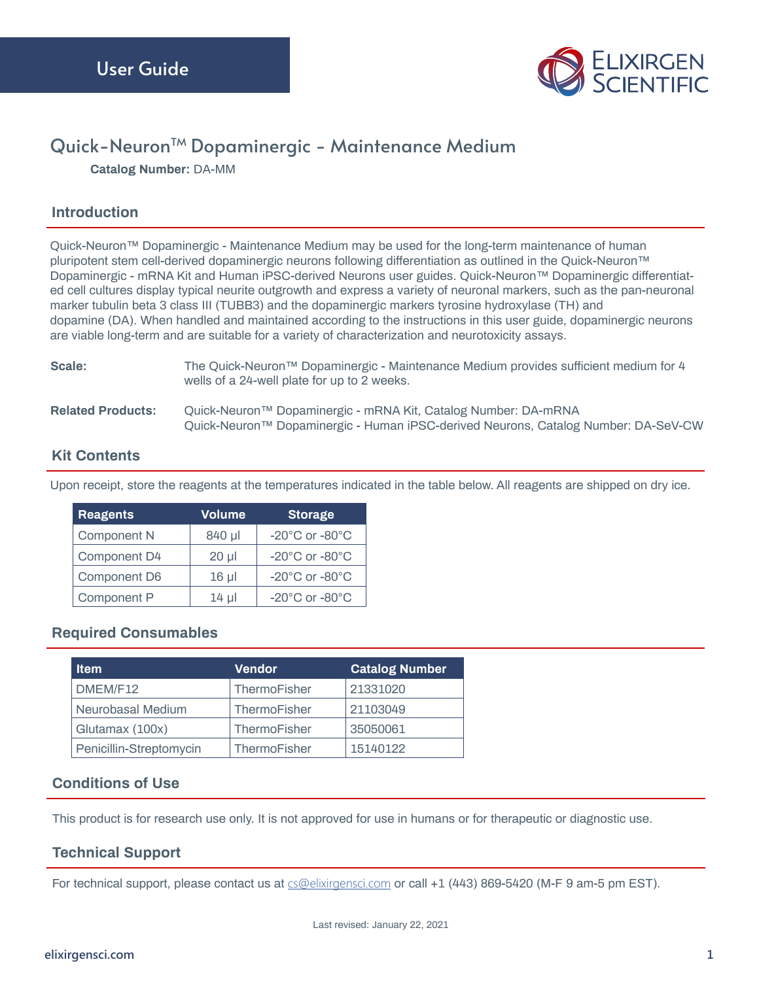

# Quick-Neuron<sup>™</sup> Dopaminergic - Maintenance Medium

**Catalog Number:** DA-MM

### **Introduction**

Quick-Neuron™ Dopaminergic - Maintenance Medium may be used for the long-term maintenance of human pluripotent stem cell-derived dopaminergic neurons following differentiation as outlined in the Quick-Neuron™ Dopaminergic - mRNA Kit and Human iPSC-derived Neurons user guides. Quick-Neuron™ Dopaminergic differentiated cell cultures display typical neurite outgrowth and express a variety of neuronal markers, such as the pan-neuronal marker tubulin beta 3 class III (TUBB3) and the dopaminergic markers tyrosine hydroxylase (TH) and dopamine (DA). When handled and maintained according to the instructions in this user guide, dopaminergic neurons are viable long-term and are suitable for a variety of characterization and neurotoxicity assays.

| Scale:                   | The Quick-Neuron™ Dopaminergic - Maintenance Medium provides sufficient medium for 4<br>wells of a 24-well plate for up to 2 weeks.                  |
|--------------------------|------------------------------------------------------------------------------------------------------------------------------------------------------|
| <b>Related Products:</b> | Quick-Neuron™ Dopaminergic - mRNA Kit, Catalog Number: DA-mRNA<br>Quick-Neuron™ Dopaminergic - Human iPSC-derived Neurons, Catalog Number: DA-SeV-CW |

### **Kit Contents**

Upon receipt, store the reagents at the temperatures indicated in the table below. All reagents are shipped on dry ice.

| <b>Reagents</b> | Volume     | <b>Storage</b>                       |
|-----------------|------------|--------------------------------------|
| Component N     | 840 µl     | $-20^{\circ}$ C or $-80^{\circ}$ C   |
| Component D4    | $20 \mu$   | -20 $^{\circ}$ C or -80 $^{\circ}$ C |
| Component D6    | $16$ $\mu$ | $-20^{\circ}$ C or $-80^{\circ}$ C   |
| Component P     | $14 \mu$   | $-20^{\circ}$ C or $-80^{\circ}$ C   |

# **Required Consumables**

| <b>Item</b>             | <b>Vendor</b> | <b>Catalog Number</b> |
|-------------------------|---------------|-----------------------|
| DMEM/F12                | ThermoFisher  | 21331020              |
| Neurobasal Medium       | ThermoFisher  | 21103049              |
| Glutamax (100x)         | ThermoFisher  | 35050061              |
| Penicillin-Streptomycin | ThermoFisher  | 15140122              |

#### **Conditions of Use**

This product is for research use only. It is not approved for use in humans or for therapeutic or diagnostic use.

# **Technical Support**

For technical support, please contact us at **[cs@elixirgensci.com](mailto:cs%40elixirgensci.com?subject=)** or call +1 (443) 869-5420 (M-F 9 am-5 pm EST).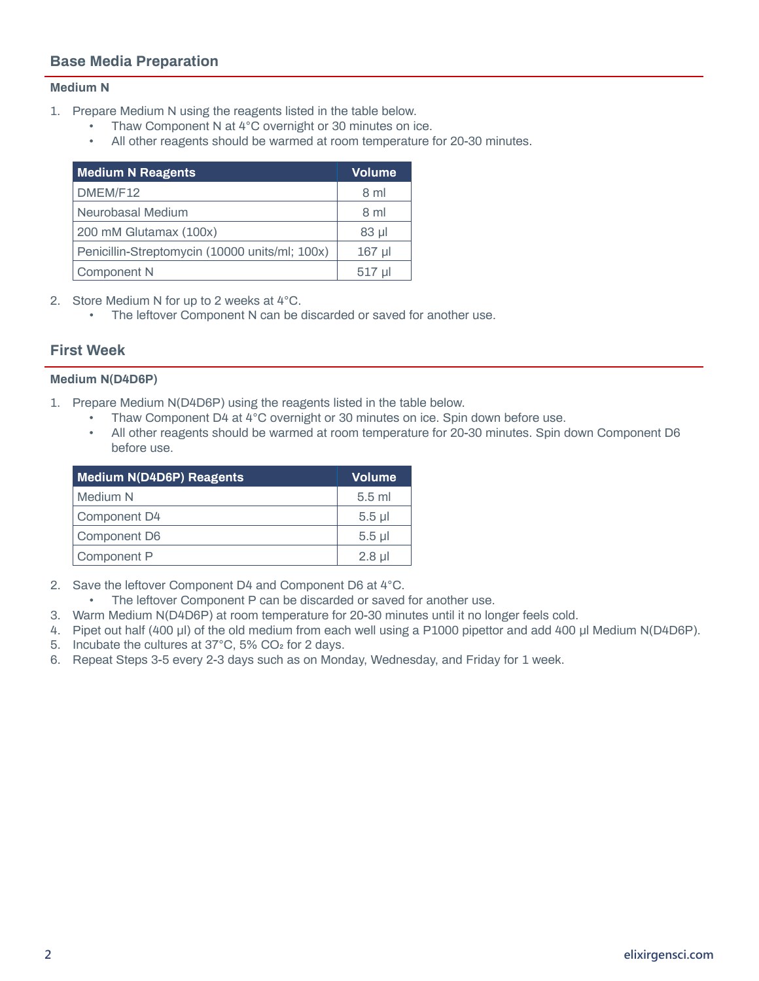# **Base Media Preparation**

#### **Medium N**

- 1. Prepare Medium N using the reagents listed in the table below.
	- Thaw Component N at 4°C overnight or 30 minutes on ice.
	- All other reagents should be warmed at room temperature for 20-30 minutes.

| <b>Medium N Reagents</b>                       | <b>Volume</b> |
|------------------------------------------------|---------------|
| DMEM/F12                                       | 8 ml          |
| Neurobasal Medium                              | 8 ml          |
| 200 mM Glutamax (100x)                         | $83$ $\mu$    |
| Penicillin-Streptomycin (10000 units/ml; 100x) | $167$ µl      |
| Component N                                    | $517$ µl      |

2. Store Medium N for up to 2 weeks at 4°C.

• The leftover Component N can be discarded or saved for another use.

#### **First Week**

#### **Medium N(D4D6P)**

- 1. Prepare Medium N(D4D6P) using the reagents listed in the table below.
	- Thaw Component D4 at 4°C overnight or 30 minutes on ice. Spin down before use.
	- All other reagents should be warmed at room temperature for 20-30 minutes. Spin down Component D6 before use.

| <b>Medium N(D4D6P) Reagents</b> | <b>Volume</b> |
|---------------------------------|---------------|
| Medium N                        | $5.5$ ml      |
| Component D4                    | $5.5$ $\mu$   |
| Component D6                    | $5.5$ $\mu$   |
| Component P                     | $2.8$ µl      |

- 2. Save the leftover Component D4 and Component D6 at 4°C.
	- The leftover Component P can be discarded or saved for another use.
- 3. Warm Medium N(D4D6P) at room temperature for 20-30 minutes until it no longer feels cold.
- 4. Pipet out half (400 μl) of the old medium from each well using a P1000 pipettor and add 400 μl Medium N(D4D6P).
- 5. Incubate the cultures at 37°C, 5% CO2 for 2 days.
- 6. Repeat Steps 3-5 every 2-3 days such as on Monday, Wednesday, and Friday for 1 week.